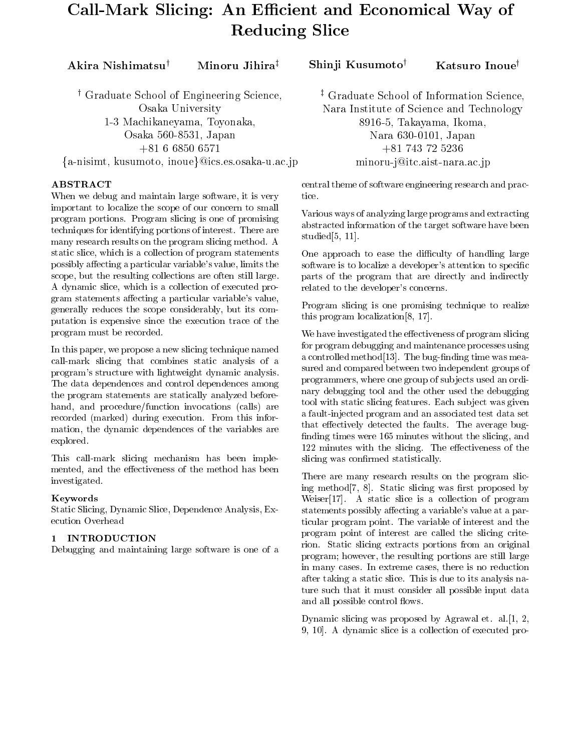# Call-Mark Slicing: An Efficient and Economical Way of Reducing Slice

<sup>y</sup> Graduate School of Engineering Science, Osaka University1-3 Machikaneyama, Toyonaka, Osaka 560-8531, Japan  $+\circ$  1 0 00.00 0.01  $+\circ$  ${a-inisimt, kusumoto, inoue}@ics. es. osaka-u.ac.jp$ 

# ABSTRACT

When we debug and maintain large software, it is very tice. important to localize the scope of our concern to small program portions. Program slicing is one of promising techniques for identifying portions of interest. There are many research results on the program slicing method. A static slice, which is a collection of program statements possibly affecting a particular variable's value, limits the scope, but the resulting collections are often still large. A dynamic slice, which is a collection of executed program statements affecting a particular variable's value, generally reduces the scope considerably, but its computation is expensive since the execution trace of the program must be recorded.

In this paper, we propose a new slicing technique named call-mark slicing that combines static analysis of a program's structure with lightweight dynamic analysis. The data dependences and control dependences among the program statements are statically analyzed beforehand, and procedure/function invocations (calls) are recorded (marked) during execution. From this information, the dynamic dependences of the variables are explored.

This call-mark slicing mechanism has been implemented, and the effectiveness of the method has been investigated.

# Keywords

Static Slicing, Dynamic Slice, Dependence Analysis, Execution Overhead

# 1 INTRODUCTION

Debugging and maintaining large software is one of a

Akira Nishimatsu† Minoru Jihira $^\dagger$  Shinji Kusumoto $^\dagger$  Katsuro Inoue $^\dagger$ 

<sup>z</sup> Graduate School of Information Science,Nara Institute of Science and Technology 8916-5, Takayama, Ikoma,Nara 630-0101, Japan +81 743 72 5236minoru-j@itc.aist-nara.ac.jp

central theme of software engineering research and prac-

Various ways of analyzing large programs and extracting abstracted information of the target software have been studied[5, 11].

One approach to ease the difficulty of handling large software is to localize a developer's attention to specific parts of the program that are directly and indirectly related to the developer's concerns.

Program slicing is one promising technique to realize this program localization[8, 17].

We have investigated the effectiveness of program slicing for program debugging and maintenance processes using a controlled method [13]. The bug-finding time was measured and compared between two independent groups of programmers, where one group of subjects used an ordinary debugging tool and the other used the debugging tool with static slicing features. Each sub ject was given a fault-injected program and an associated test data set that effectively detected the faults. The average bugfinding times were 165 minutes without the slicing, and 122 minutes with the slicing. The effectiveness of the slicing was confirmed statistically.

There are many research results on the program slicing method $[7, 8]$ . Static slicing was first proposed by Weiser[17]. A static slice is a collection of program statements possibly affecting a variable's value at a particular program point. The variable of interest and the program point of interest are called the slicing criterion. Static slicing extracts portions from an original program; however, the resulting portions are still large in many cases. In extreme cases, there is no reduction after taking a static slice. This is due to its analysis nature such that it must consider all possible input data and all possible control flows.

Dynamic slicing was proposed by Agrawal et. al.[1, 2, 9, 10]. A dynamic slice is a collection of executed pro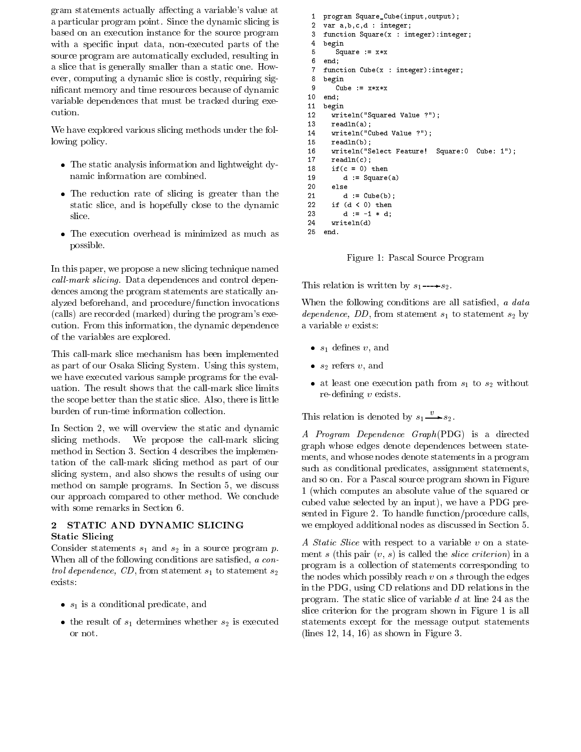gram statements actually affecting a variable's value at a particular program point. Since the dynamic slicing is based on an execution instance for the source program with a specific input data, non-executed parts of the source program are automatically excluded, resulting in  $\frac{5}{6}$ a slice that is generally smaller than a static one. How ever, computing a dynamic slice is costly, requiring signicant memory and time resources because of dynamic variable dependences that must be tracked during execution.

We have explored various slicing methods under the following policy.

- $\bullet$  The static analysis information and lightweight dynamic information are combined.
- $\bullet$  The reduction rate of slicing is greater than the  $\hspace{0.1cm}$ static slice, and is hopefully close to the dynamic slice.
- $\bullet$  The execution overhead is minimized as much as possible.

In this paper, we propose a new slicing technique named  $call-mark \, slicing.$  Data dependences and control dependences among the program statements are statically analyzed beforehand, and procedure/function invocations (calls) are recorded (marked) during the program's execution. From this information, the dynamic dependence of the variables are explored.

This call-mark slice mechanism has been implemented as part of our Osaka Slicing System. Using this system, we have executed various sample programs for the evaluation. The result shows that the call-mark slice limits the scope better than the static slice. Also, there is little burden of run-time information collection.

In Section 2, we will overview the static and dynamic slicing methods. We propose the call-mark slicing method in Section 3. Section 4 describes the implementation of the call-mark slicing method as part of our slicing system, and also shows the results of using our method on sample programs. In Section 5, we discuss our approach compared to other method. We conclude with some remarks in Section 6.

#### STATIC AND DYNAMIC SLICING  $\overline{2}$ Static Slicing

Consider statements  $s_1$  and  $s_2$  in a source program p. When all of the following conditions are satisfied, a control dependence, CD, from statement  $s_1$  to statement  $s_2$ 

- $\bullet$   $s_1$  is a conditional predicate, and
- the result of  $s_1$  determines whether  $s_2$  is executed stat or not.

```
1 program Square_Cube(input,output);
\overline{2} var a,b,c,d : integer;
 \overline{\phantom{a}} function Square(x : integer):integer;
\mathbf{3}4 begin
5Square := x * x end;
7 function Cube(x : integer):integer;
\mathbf{R} begin
9
       Cube := x*x*x10 end;
     begin
       writeln("Squared Value ?");
1213 readln(a);
       writeln("Cubed Value ?");
1415 readln(b);
       writeln("Select Feature! Square:0 Cube: 1");
1617 readln(c);
18if(c = 0) then
          d := Square(a)20
       else
21d := Cube(b);22 if (d < 0) then
          d := -1 * d;
23--
24 writeln(d)
25 end.
```
Figure 1: Pascal Source Program

This relation is written by  $s_1 \rightarrow s_2$ .

When the following conditions are all satisfied,  $\alpha$  data dependence, DD, from statement  $s_1$  to statement  $s_2$  by a variable <sup>v</sup> exists:

- $\bullet$   $s_1$  dennes  $v,$  and
- $\bullet$   $s_2$  refers  $v,$  and
- $\bullet$  at least one execution path from  $s_1$  to  $s_2$  without  $re$ -defining  $v$  exists.

This relation is denoted by  $s_1 \longrightarrow s_2$ .

A Program Dependence Graph(PDG) is a directed graph whose edges denote dependences between statements, and whose nodes denote statements in a program such as conditional predicates, assignment statements, and so on. For a Pascal source program shown in Figure 1 (which computes an absolute value of the squared or cubed value selected by an input), we have a PDG presented in Figure 2. To handle function/procedure calls, we employed additional nodes as discussed in Section 5.

A Static Slice with respect to a variable <sup>v</sup> on a statement s (this pair  $(v, s)$  is called the *slice criterion*) in a program is a collection of statements corresponding to the nodes which possibly reach  $v$  on  $s$  through the edges in the PDG, using CD relations and DD relations in the program. The static slice of variable <sup>d</sup> at line 24 as the slice criterion for the program shown in Figure 1 is all statements except for the message output statements (lines  $12, 14, 16$ ) as shown in Figure 3.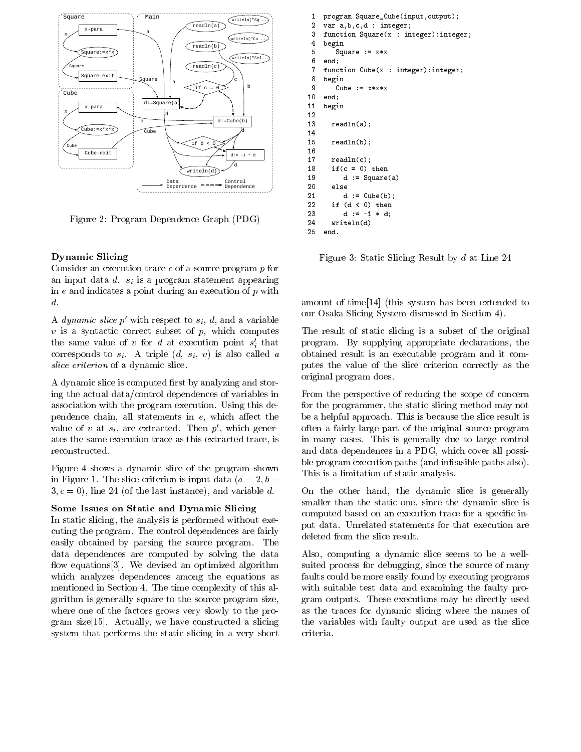

Figure 2: Program Dependence Graph (PDG)

#### Dynamic Slicing

Consider an execution trace <sup>e</sup> of a source program <sup>p</sup> for an input data d. si is a program statement appearing in  $e$  and indicates a point during an execution of  $p$  with d.

A *aynamic sitce p* with respect to  $s_i$ ,  $a$ , and a variable  $v$  is a syntactic correct subset of  $p$ , which computes the same value of v for  $a$  at execution point  $s_i$  that  $\qquad p$ corresponds to si . A triple (d, si) is also called a trip slice criterion of a dynamic slice.

A dynamic slice is computed first by analyzing and storing the actual data/control dependences of variables in association with the program execution. Using this dependence chain, all statements in  $e$ , which affect the value of v at  $s_i$ , are extracted. Then  $p$ , which generates the same execution trace as this extracted trace, is reconstructed.

Figure 4 shows a dynamic slice of the program shown in Figure 1. The slice criterion is input data  $(a = 2, b = 1)$  $3, c = 0$ , line 24 (of the last instance), and variable d.

#### Some Issues on Static and Dynamic Slicing

In static slicing, the analysis is performed without executing the program. The control dependences are fairly easily obtained by parsing the source program. The data dependences are computed by solving the data flow equations [3]. We devised an optimized algorithm which analyzes dependences among the equations as mentioned in Section 4. The time complexity of this algorithm is generally square to the source program size, where one of the factors grows very slowly to the program size[15]. Actually, we have constructed a slicing system that performs the static slicing in a very short

```
 program Square_Cube(input,output);
 \overline{1}\overline{2} var a,b,c,d : integer;
 \overline{\phantom{a}} function Square(x : integer):integer;
\mathbf{3}4 begin
5Square := x * x\epsilonend: end;
7 function Cube(x : integer):integer;
8
     begin
9
        Cube := x*x*x10 end;
     begin
1213 readln(a);
1415 readln(b);
1617 readln(c);
       if(c = 0) then
18d := Square(a)20 else
21d := Cube(b):
           \blacksquare := \blacksquare;
22 if (d < 0) then
23d := -1 * d;-
24write \sim \sim \sim \sim \sim \sim25 end.
```
Figure 3: Static Slicing Result by <sup>d</sup> at Line 24

amount of time[14] (this system has been extended to our Osaka Slicing System discussed in Section 4).

The result of static slicing is a subset of the original program. By supplying appropriate declarations, the obtained result is an executable program andit computes the value of the slice criterion correctly as the original program does.

From the perspective of reducing the scope of concern for the programmer, the static slicing method may not be a helpful approach. This is because the slice result is often a fairly large part of the original source program in many cases. This is generally due to large control and data dependences in a PDG, which cover all possible program execution paths (and infeasible paths also). This is a limitation of static analysis.

On the other hand, the dynamic slice is generally smaller than the static one, since the dynamic slice is computed based on an execution trace for a specific input data. Unrelated statements for that execution are deleted from the slice result.

Also, computing a dynamic slice seems to be a wellsuited process for debugging, since the source of many faults could be more easily found by executing programs with suitable test data and examining the faulty program outputs. These executions may be directly used as the traces for dynamic slicing where the names of the variables with faulty output are used as the slice criteria.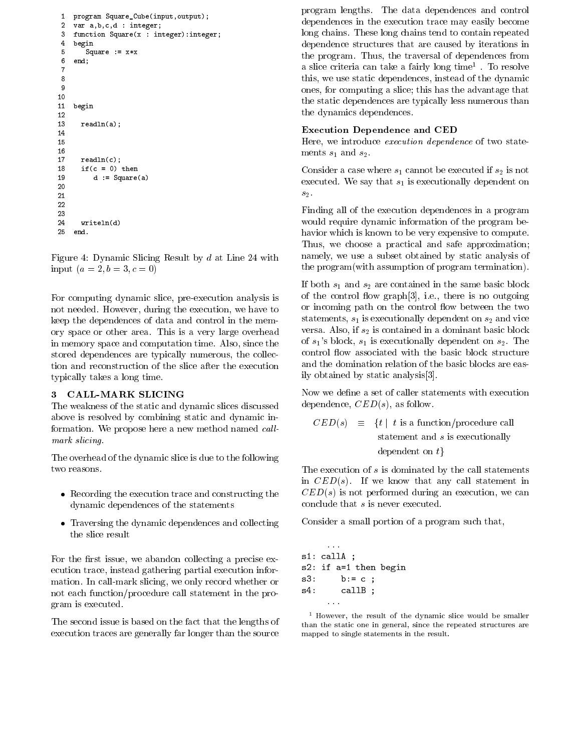```
 program Square_Cube(input,output);
 \mathbf{1}\overline{2} var a,b,c,d : integer;
 - function Square(x : integer):integer;
 4 begin
 5 Square := x*x
 6 end;
 78910 begin
1213 readln(a);
14151617 readln(c);
      if(c = 0) then18d := Square(a)2021222324 writeln(d)
25 end.
```
Figure 4: Dynamic Slicing Result by <sup>d</sup> at Line 24 with input  $(a = 2, b = 3, c = 0)$ 

For computing dynamic slice, pre-execution analysis is not needed. However, during the execution, we have to keep the dependences of data and control in the memory space or other area. This is a very large overhead in memory space and computation time. Also, since the stored dependences are typically numerous, the collection and reconstruction of the slice after the execution typically takes a long time.

#### 3 CALL-MARK SLICING

The weakness of the static and dynamic slices discussed above is resolved by combining static and dynamic information. We propose here a new method named callmark slicing.

The overhead of the dynamic slice is due to the following two reasons.

- $\bullet$  Recording the execution trace and constructing the  $\qquad \circ$  . dynamic dependences of the statements
- $\bullet$  -fraversing the dynamic dependences and collecting  $\sim$ the slice result

For the first issue, we abandon collecting a precise execution trace, instead gathering partial execution information. In call-mark slicing, we only record whether or not each function/procedure call statement in the program is executed.

The second issue is based on the fact that the lengths of execution traces are generally far longer than the source

program lengths. The data dependences and control dependences in the execution trace may easily become long chains. These long chains tend to contain repeated dependence structures that are caused by iterations in the program. Thus, the traversal of dependences from a slice criteria can take a fairly long time 1. To resolve this, we use static dependences, instead of the dynamic ones, for computing a slice; this has the advantage that the static dependences are typically less numerous than the dynamics dependences.

#### Execution Dependence and CED

Here, we introduce execution dependence of two statements  $s_1$  and  $s_2$ .

Consider a case where  $s_1$  cannot be executed if  $s_2$  is not executed. We say that  $s_1$  is executionally dependent on  $s<sub>2</sub>$ .

Finding all of the execution dependences in a program would require dynamic information of the program behavior which is known to be very expensive to compute. Thus, we choose a practical and safe approximation; namely, we use a subset obtained by static analysis of the program(with assumption of program termination).

If both  $s_1$  and  $s_2$  are contained in the same basic block of the control ow graph[3], i.e., there is no outgoing or incoming path on the control flow between the two statements,  $s_1$  is executionally dependent on  $s_2$  and vice versa. Also, if  $s_2$  is contained in a dominant basic block of  $s_1$ 's block,  $s_1$  is executionally dependent on  $s_2$ . The control flow associated with the basic block structure and the domination relation of the basic blocks are easily obtained by static analysis[3].

Now we define a set of caller statements with execution dependence,  $CED(s)$ , as follow.

$$
CED(s) \equiv \{t \mid t \text{ is a function/procedure call} \atop \text{statement and } s \text{ is executing all} \atop \text{dependent on } t\}
$$

The execution of  $s$  is dominated by the call statements in  $CED(s)$ . If we know that any call statement in  $\mathcal{C}ED(s)$  is not performed during an execution, we can conclude that <sup>s</sup> is never executed.

Consider a small portion of a program such that,

... s1: callA ; s2: if a=1 then begin s3: b:= c ; s4: callB ;

<sup>1</sup> However, the result of the dynamic slice would be smaller than the static one in general, since the repeated structures aremapped to single statements in the result.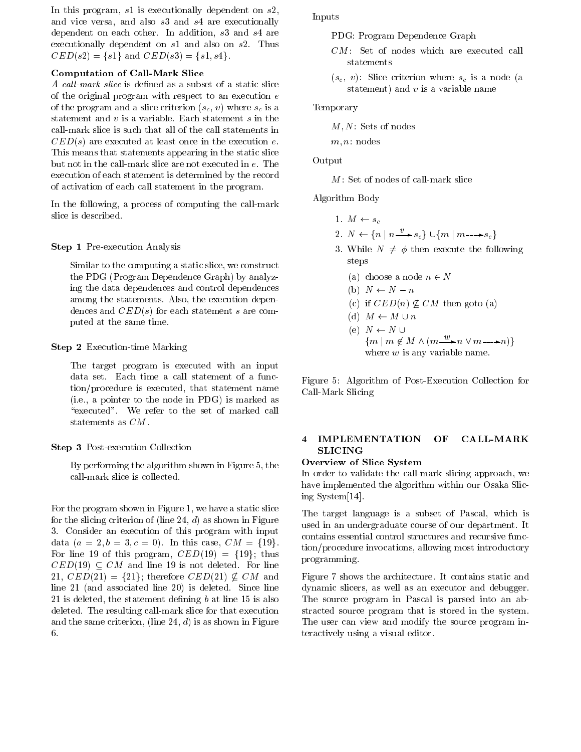In this program,  $s1$  is executionally dependent on  $s2$ , and vice versa, and also s3 and s4 are executionally dependent on each other. In addition, s3 and s4 are executionally dependent on s1 and also on s2. Thus  $CED(s2) = \{s1\}$  and  $CED(s3) = \{s1, s4\}.$ 

## Computation of Call-Mark Slice

A call-mark slice is defined as a subset of a static slice of the original program with respect to an execution <sup>e</sup> of the program and a slice criterion (s() -) where sc is an statement and  $v$  is a variable. Each statement  $s$  in the call-mark slice is such that all of the call statements in  $\mathcal{C}ED(s)$  are executed at least once in the execution e. This means that statements appearing in the static slice but not in the call-mark slice are not executed in e. The execution of each statement is determined by the record of activation of each call statement in the program.

In the following, a process of computing the call-mark

#### Step 1 Pre-execution Analysis

Similar to the computing a static slice, we construct the PDG (Program Dependence Graph) by analyzing the data dependences and control dependences among the statements. Also, the execution dependences and  $CED(s)$  for each statement s are computed at the same time.

#### Step 2 Execution-time Marking

The target program is executed with an input data set. Each time a call statement of a function/procedure is executed, that statement name (i.e., a pointer to the node in PDG) is marked as "executed". We refer to the set of marked call statements as CM.

#### Step 3 Post-execution Collection

By performing the algorithm shown in Figure 5, the call-mark slice is collected.

For the program shown in Figure 1, we have a static slice for the slicing criterion of (line 24,  $d$ ) as shown in Figure 3. Consider an execution of this program with input data  $(a = 2, b = 3, c = 0)$ . In this case,  $CM = \{19\}.$ For line 19 of this program,  $CED(19) = \{19\}$ ; thus  $\mathit{CED}(19) \subseteq \mathit{CM}$  and line 19 is not deleted. For line 21,  $CED(21) = {21}$ ; therefore  $CED(21) \not\subset CM$  and line 21 (and associated line 20) is deleted. Since line 21 is deleted, the statement defining  $b$  at line 15 is also deleted. The resulting call-mark slice for that execution and the same criterion, (line 24,  $d$ ) is as shown in Figure

#### Inputs

PDG: Program Dependence Graph

- CM: Set of nodes which are executed call statements
- $\mathcal{S} = \{ \mathcal{S} \mid \mathcal{S} \}$  . Since constants where some  $\mathcal{S}$  is a node  $\mathcal{S}$  and  $\mathcal{S}$ statement) and  $v$  is a variable name

#### Temporary

 $M, N:$  Sets of nodes

 $m, n:$  nodes

## Output

 $M:$  Set of nodes of call-mark slice

Algorithm Body

- 1.  $M \leftarrow s_c$
- 2.  $N \leftarrow \{n \mid n \longrightarrow s_c\} \cup \{m \mid m \longrightarrow s_c\}$
- 3. While  $N \neq \phi$  then execute the following steps
	- (a) choose a node  $n \in N$
	- (b)  $N \leftarrow N n$
	- (c) if  $CED(n) \not\subseteq CM$  then goto (a)
	- (d)  $M \leftarrow M \cup n$
	- (e)  $N \leftarrow N \cup$  ${m \mid m \notin M \land (m \stackrel{w}{\longrightarrow} n \lor m \longrightarrow n)}$ where  $w$  is any variable name.

Figure 5:Algorithm of Post-Execution Collection for Call-Mark Slicing

# 4 IMPLEMENTATION OF CALL-MARK SLICING

#### Overview of Slice System

In order to validate the call-mark slicing approach, we have implemented the algorithm within our Osaka Slicing System[14].

The target language is a subset of Pascal, which is used in an undergraduate course of our department. It contains essential control structures and recursive function/procedure invocations, allowing most introductory programming.

Figure 7 shows the architecture. It contains static and dynamic slicers, as well as an executor and debugger. The source program in Pascal is parsed into an abstracted source program that is stored in the system. The user can view and modify the source program interactively using a visual editor.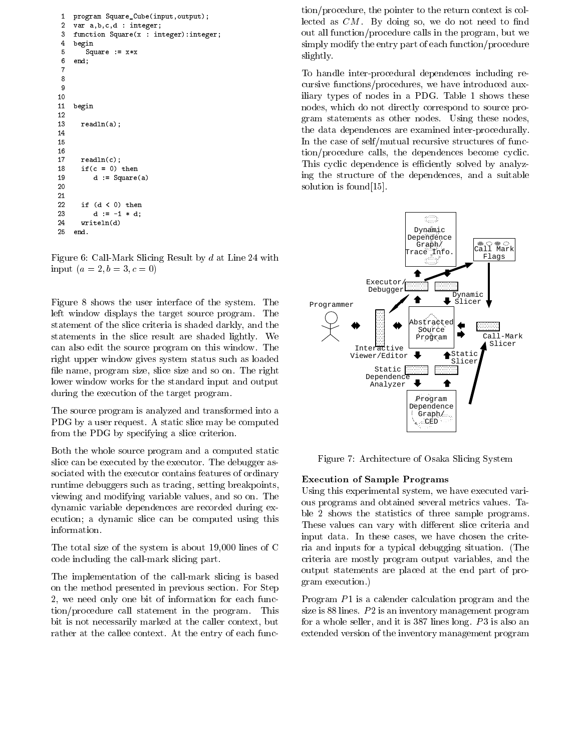```
 program Square_Cube(input,output);
 \mathbf{1}\overline{2} var a,b,c,d : integer;
 - function Square(x : integer):integer;
 4 begin
 5Square := x * x6end: end;
 78
 910 begin
1213 readln(a);
14151617 readln(c);
18if(c = 0) thend := Square(a)202122 if (d < 0) then
23
         d := -1 * d;
--
24 writeln(d)
25
```
Figure 6: Call-Mark Slicing Result by <sup>d</sup> at Line 24 with input  $(a = 2, b = 3, c = 0)$ 

Figure 8 shows the user interface of the system. The left window displays the target source program. The statement of the slice criteria is shaded darkly, and the statements in the slice result are shaded lightly. We can also edit the source program on this window. The right upper window gives system status such as loaded file name, program size, slice size and so on. The right lower window works for the standard input and output during the execution of the target program.

The source program is analyzed and transformed into a PDG by a user request. A static slice may be computed from the PDG by specifying a slice criterion.

Both the whole source program and a computed static slice can be executed by the executor. The debugger associated with the executor contains features of ordinary runtime debuggers such as tracing, setting breakpoints, viewing and modifying variable values, and so on. The dynamic variable dependences are recorded during execution; a dynamic slice can be computed using this information.

The total size of the system is about 19,000 lines of C code including the call-mark slicing part.

The implementation of the call-mark slicing is based on the method presented in previous section. For Step 2, we need only one bit of information for each function/procedure call statement in the program. This bit is not necessarily marked at the caller context, but rather at the callee context. At the entry of each func-

tion/procedure, the pointer to the return context is collected as  $CM$ . By doing so, we do not need to find out all function/procedure calls in the program, but we simply modify the entry part of each function/procedure slightly.

To handle inter-procedural dependences including recursive functions/procedures, we have introduced auxiliary types of nodes in a PDG. Table 1 shows these nodes, which do not directly correspond to source program statements as other nodes. Using these nodes, the data dependences are examined inter-procedurally. In the case of self/mutual recursive structures of function/procedure calls, the dependences become cyclic. This cyclic dependence is efficiently solved by analyzing the structure of the dependences, and a suitable solution is found[15].



Figure 7: Architecture of Osaka Slicing System

#### Execution of Sample Programs

Using this experimental system, we have executed various programs and obtained several metrics values. Table 2 shows the statistics of three sample programs. These values can vary with different slice criteria and input data. In these cases, we have chosen the criteria and inputs for a typical debugging situation. (The criteria are mostly program output variables, and the output statements are placed at the end part of program execution.)

Program  $P1$  is a calender calculation program and the size is 88 lines.  $P2$  is an inventory management program for a whole seller, and it is  $387$  lines long.  $P3$  is also an extended version of the inventory management program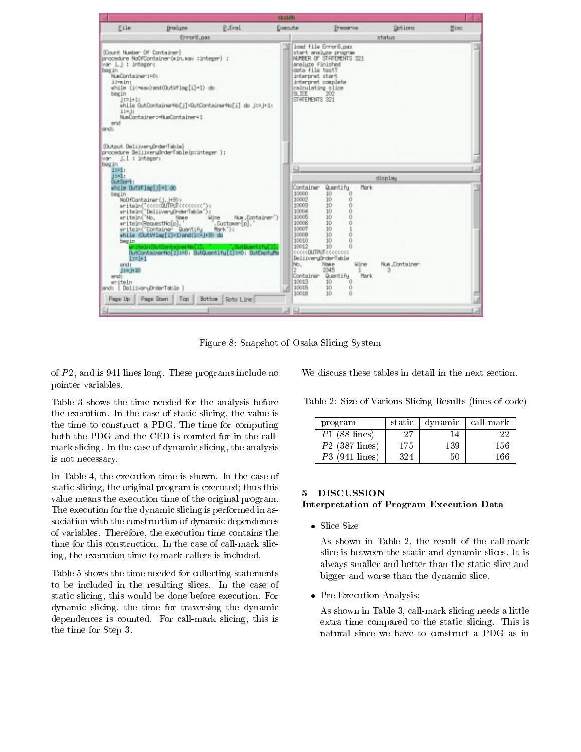| th cloth                                                                                                                                                   |                                  |                                                                                                                                                                                                                                                                                                                     |                                                                                                                                                                                                                                              |                                                                                                                                                                                                                                                                                  |                           |
|------------------------------------------------------------------------------------------------------------------------------------------------------------|----------------------------------|---------------------------------------------------------------------------------------------------------------------------------------------------------------------------------------------------------------------------------------------------------------------------------------------------------------------|----------------------------------------------------------------------------------------------------------------------------------------------------------------------------------------------------------------------------------------------|----------------------------------------------------------------------------------------------------------------------------------------------------------------------------------------------------------------------------------------------------------------------------------|---------------------------|
| <b>Brailuns</b>                                                                                                                                            | P.Eval.                          | Evacuta                                                                                                                                                                                                                                                                                                             | Рекончи-                                                                                                                                                                                                                                     | <b>Options</b>                                                                                                                                                                                                                                                                   | <b>Ninc</b>               |
|                                                                                                                                                            |                                  |                                                                                                                                                                                                                                                                                                                     |                                                                                                                                                                                                                                              | status                                                                                                                                                                                                                                                                           |                           |
| (Count Nusber- Of Container)<br>war i_i : Untager:<br>NumDontlatinier (=0)<br>NumDortainer: HamContainer+1                                                 |                                  | SL ITE                                                                                                                                                                                                                                                                                                              | 202                                                                                                                                                                                                                                          |                                                                                                                                                                                                                                                                                  |                           |
| (Output DeliveryOrderTable)<br>var   : integer:                                                                                                            |                                  | 益                                                                                                                                                                                                                                                                                                                   |                                                                                                                                                                                                                                              |                                                                                                                                                                                                                                                                                  |                           |
| while DutWing[5]=1.do<br>NoDFContainer [.j. j+901<br>anitelin("No,<br>Nase-<br>an I te in RequestRo[p].<br>DelliveryDrderTable<br>Page Up Page Down<br>Top | Wine<br>Dustawar [p].<br>Mark 11 | 10000<br>30007<br>10003<br>10004<br>10005<br>10006<br>30007<br>10009<br>10010<br>10012<br>No.<br>10013<br>10015<br>10016                                                                                                                                                                                            | Quantifu<br>10 <sup>°</sup><br>o<br>30<br>ä<br>30<br>Ŭ<br>30<br>Ō<br>ö<br>10<br>10 <sub>1</sub><br>ű<br>10<br>10<br>ŭ<br>10<br>ū<br>$\Omega$<br>10<br><b>Wine</b><br>Name<br>2345<br>10<br>0<br>10 <sub>1</sub><br>ö<br>10 <sub>1</sub><br>a | Nua , Conta iner<br>з                                                                                                                                                                                                                                                            |                           |
|                                                                                                                                                            |                                  |                                                                                                                                                                                                                                                                                                                     |                                                                                                                                                                                                                                              |                                                                                                                                                                                                                                                                                  |                           |
|                                                                                                                                                            |                                  | firror@.pss<br>procedure NoOFContainer(win.wax :integer) ;<br>while (10-wasdand(DutWing[i]=1) do<br>procedure BelijseruOrderTsble(p:integer );<br>sritsin("cocculified"coccocc"):<br>aritain("DeliiveryDrderTable");<br>writein("Container Quantify Mark<br>while (Quev¥lag[1]=1)and(1⊂=1+9) do<br>Bottom Boto Line | while OutContainerNo[j]=OutContainerNo[j] do j:=j+1;<br>Nua , Container')<br>ButContainertio[1]:=0; ButQuant1fu[1]:=0; ButDuctufb<br>딜                                                                                                       | load file Error8.pm<br>start analyze program<br>NUMBER OF STREEMENTS 321<br>analuze fänished<br>data file test?<br>interpret start<br>interpret cosplete<br>calculating slice<br>STATEMENTS 321<br>Container<br>cccccDUTPUT cccccccc<br>DeliveryOrderTable<br>Container Quantifu | display<br>Nork.<br>Mark. |

Figure 8: Snapshot of Osaka Slicing System

of  $P2$ , and is 941 lines long. These programs include no pointer variables.

Table 3 shows the time needed for the analysis before the execution. In the case of static slicing, the value is the time to construct a PDG. The time for computing both the PDG and the CED is counted for in the callmark slicing. In the case of dynamic slicing, the analysis is not necessary.

In Table 4, the execution time is shown. In the case of static slicing, the original program is executed; thus this value means the execution time of the original program. The execution for the dynamic slicing is performed in association with the construction of dynamic dependences of variables. Therefore, the execution time contains the time for this construction. In the case of call-mark slicing, the execution time to mark callers is included.

Table 5 shows the time needed for collecting statements to be included in the resulting slices. In the case of static slicing, this would be done before execution. For dynamic slicing, the time for traversing the dynamic dependences is counted. For call-mark slicing, this is the time for Step 3.

We discuss these tables in detail in the next section.

| Table 2: Size of Various Slicing Results (lines of code) |  |
|----------------------------------------------------------|--|
|----------------------------------------------------------|--|

| program          | static |     | dynamic call-mark |
|------------------|--------|-----|-------------------|
| $P1$ (88 lines)  | 97     | 14  | つつ                |
| $P2$ (387 lines) | 175    | 139 | 156               |
| $P3$ (941 lines) | 324    | 50  | 166               |

# **DISCUSSION** Interpretation of Program Execution Data

 $\bullet$  Slice Size

As shown in Table 2, the result of the call-mark slice is between the static and dynamic slices. It is always smaller and better than the static slice and bigger and worse than the dynamic slice.

 $\bullet\,$  Pre-Execution Analysis:

As shown in Table 3, call-mark slicing needs a little extra time compared to the static slicing. This is natural since we have to construct a PDG as in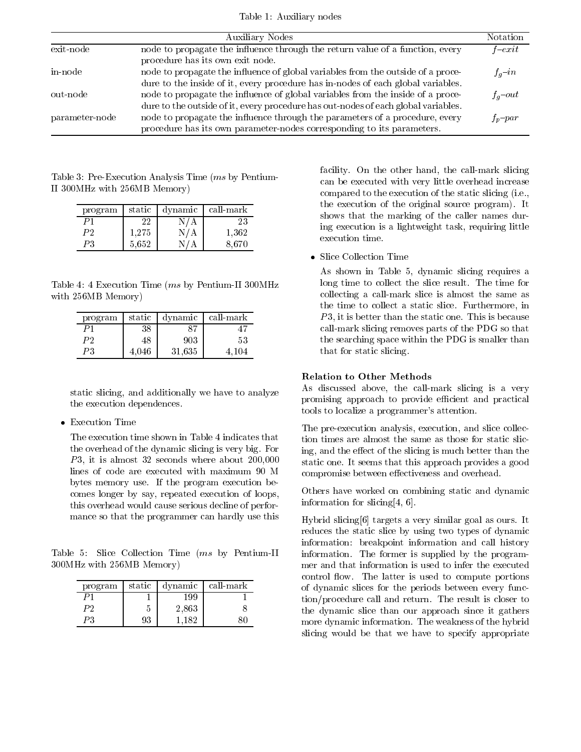Table 1: Auxiliary nodes

|                | Auxiliary Nodes                                                                                                                                                       | Notation         |
|----------------|-----------------------------------------------------------------------------------------------------------------------------------------------------------------------|------------------|
| exit-node      | node to propagate the influence through the return value of a function, every<br>procedure has its own exit node.                                                     | $_{\it{f-exit}}$ |
| in-node        | node to propagate the influence of global variables from the outside of a proce-<br>dure to the inside of it, every procedure has in-nodes of each global variables.  | $f_q$ -in        |
| out-node       | node to propagate the influence of global variables from the inside of a proce-<br>dure to the outside of it, every procedure has out-nodes of each global variables. | $f_q$ -out       |
| parameter-node | node to propagate the influence through the parameters of a procedure, every<br>procedure has its own parameter-nodes corresponding to its parameters.                | $f_p$ -par       |

Table 3: Pre-Execution Analysis Time (ms by Pentium-II 300MHz with 256MB Memory)

| program        | static | dynamic | l call-mark |
|----------------|--------|---------|-------------|
| D1             |        |         | 23          |
| P <sub>2</sub> | 1.275  |         | 1,362       |
| DЯ             | 5,652  |         | 8.670       |

Table 4: 4 Execution Time (ms by Pentium-II 300MHz with 256MB Memory)

| program | static |        | dynamic call-mark |
|---------|--------|--------|-------------------|
|         | 38     |        |                   |
| P2      | 48     | 903    | 53                |
| PЗ      | 4.046  | 31,635 | 4.104             |

static slicing, and additionally we have to analyze the execution dependences.

 $\bullet$  Execution Time

The execution time shown in Table 4 indicates that the overhead of the dynamic slicing is very big. For  $P3$ , it is almost 32 seconds where about 200,000 lines of code are executed with maximum 90 M bytes memory use. If the program execution becomes longer by say, repeated execution of loops, this overhead would cause serious decline of performance so that the programmer can hardly use this

Table 5: Slice Collection Time (ms by Pentium-II 300MHz with 256MB Memory)

| program | static | dynamic                   | call-mark |
|---------|--------|---------------------------|-----------|
|         |        | 199                       |           |
| P2      | G      | 2,863<br>and the contract |           |
|         | 93     | 1 ຂາ                      |           |

facility. On the other hand, the call-mark slicing can be executed with very little overhead increase compared to the execution of the static slicing (i.e., the execution of the original source program). It shows that the marking of the caller names during execution is a lightweight task, requiring little execution time.

Slice Collection Time

As shown in Table 5, dynamic slicing requires a long time to collect the slice result. The time for collecting a call-mark slice is almost the same as the time to collect a static slice. Furthermore, in  $P3$ , it is better than the static one. This is because call-mark slicing removes parts of the PDG so that the searching space within the PDG is smaller than that for static slicing.

# Relation to Other Methods

As discussed above, the call-mark slicing is a very promising approach to provide efficient and practical tools to localize a programmer's attention.

The pre-execution analysis, execution, and slice collection times are almost the same as those for static slicing, and the effect of the slicing is much better than the static one. It seems that this approach provides a good compromise between effectiveness and overhead.

Others have worked on combining static and dynamic information for slicing[4, 6].

Hybrid slicing[6] targets a very similar goal as ours. It reduces the static slice by using two types of dynamic information: breakpoint information and call history information. The former is supplied by the programmer and that information is used to infer the executed control flow. The latter is used to compute portions of dynamic slices for the periods between every function/procedure call and return. The result is closer to the dynamic slice than our approach since it gathers more dynamic information. The weakness of the hybrid slicing would be that we have to specify appropriate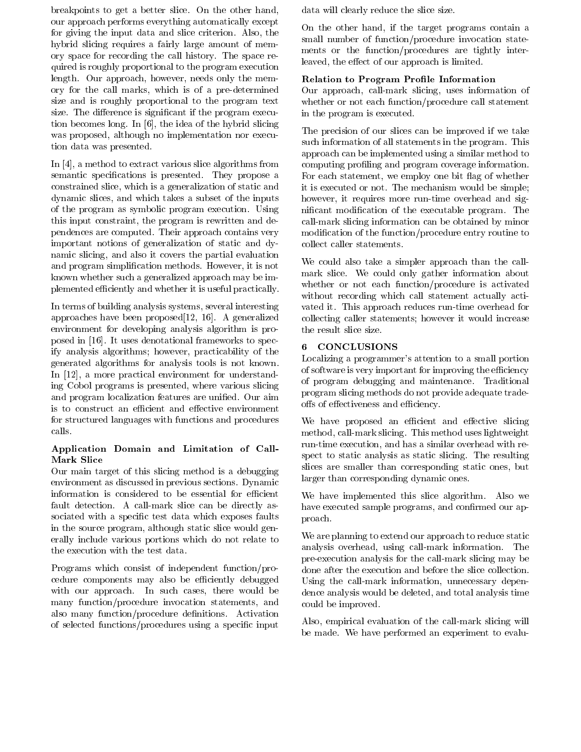breakpoints to get a better slice. On the other hand, our approach performs everything automatically except for giving the input data and slice criterion. Also, the hybrid slicing requires a fairly large amount of memory space for recording the call history. The space required is roughly proportional to the program execution length. Our approach, however, needs only the memory for the call marks, which is of a pre-determined size and is roughly proportional to the program text size. The difference is significant if the program execution becomes long. In [6], the idea of the hybrid slicing was proposed, although no implementation nor execution data was presented.

In [4], a method to extract various slice algorithms from semantic specifications is presented. They propose a constrained slice, which is a generalization of static and dynamic slices, and which takes a subset of the inputs of the program as symbolic program execution. Using this input constraint, the program is rewritten and dependences are computed. Their approach contains very important notions of generalization of static and dynamic slicing, and also it covers the partial evaluation and program simplication methods. However, it is not known whether such a generalized approach may be implemented eciently and whether it is useful practically.

In terms of building analysis systems, several interesting approaches have been proposed[12, 16]. A generalized environment for developing analysis algorithm is proposed in [16]. It uses denotational frameworks to specify analysis algorithms; however, practicability of the generated algorithms for analysis tools is not known. In [12], a more practical environment for understanding Cobol programs is presented, where various slicing and program localization features are unified. Our aim is to construct an efficient and effective environment for structured languages with functions and procedures

# Application Domain and Limitation of Call-Mark Slice

Our main target of this slicing method is a debugging environment as discussed in previous sections. Dynamic information is considered to be essential for efficient fault detection. A call-mark slice can be directly associated with a specific test data which exposes faults in the source program, although static slice would generally include various portions which do not relate to the execution with the test data.

Programs which consist of independent function/procedure components may also be efficiently debugged with our approach. In such cases, there would be many function/procedure invocation statements, and also many function/procedure definitions. Activation of selected functions/procedures using a specic input data will clearly reduce the slice size.

On the other hand, if the target programs contain a small number of function/procedure invocation statements or the function/procedures are tightly interleaved, the effect of our approach is limited.

# Relation to Program Profile Information

Our approach, call-mark slicing, uses information of whether or not each function/procedure call statement in the program is executed.

The precision of our slices can be improved if we take such information of all statements in the program. This approach can be implemented using a similar method to computing profiling and program coverage information. For each statement, we employ one bit flag of whether it is executed or not. The mechanism would be simple; however, it requires more run-time overhead and signicant modication of the executable program. The call-mark slicing information can be obtained by minor modification of the function/procedure entry routine to collect caller statements.

We could also take a simpler approach than the callmark slice. We could only gather information about whether or not each function/procedure is activated without recording which call statement actually activated it. This approach reduces run-time overhead for collecting caller statements; however it would increase the result slice size.

#### $6<sup>1</sup>$ **CONCLUSIONS**

Localizing a programmer's attention to a small portion of software is very important for improving the efficiency of program debugging and maintenance. Traditional program slicing methods do not provide adequate tradeoffs of effectiveness and efficiency.

We have proposed an efficient and effective slicing method, call-mark slicing. This method uses lightweight run-time execution, and has a similar overhead with respect to static analysis as static slicing. The resulting slices are smaller than corresponding static ones, but larger than corresponding dynamic ones.

We have implemented this slice algorithm. Also we have executed sample programs, and confirmed our approach.

We are planning to extend our approach to reduce static analysis overhead, using call-mark information. The pre-execution analysis for the call-mark slicing may be done after the execution and before the slice collection. Using the call-mark information, unnecessary dependence analysis would be deleted, and total analysis time could be improved.

Also, empirical evaluation of the call-mark slicing will be made. We have performed an experiment to evalu